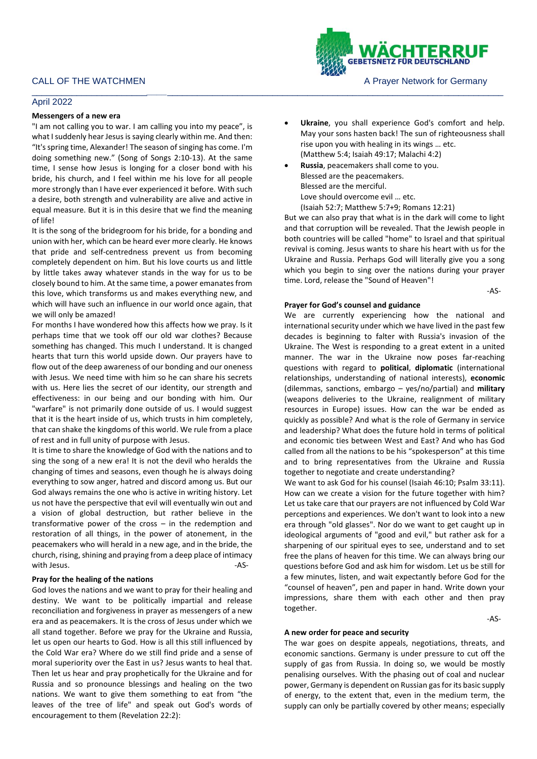## April 2022

#### **Messengers of a new era**

"I am not calling you to war. I am calling you into my peace", is what I suddenly hear Jesus is saying clearly within me. And then: "It's spring time, Alexander! The season of singing has come. I'm doing something new." (Song of Songs 2:10-13). At the same time, I sense how Jesus is longing for a closer bond with his bride, his church, and I feel within me his love for all people more strongly than I have ever experienced it before. With such a desire, both strength and vulnerability are alive and active in equal measure. But it is in this desire that we find the meaning of life!

It is the song of the bridegroom for his bride, for a bonding and union with her, which can be heard ever more clearly. He knows that pride and self-centredness prevent us from becoming completely dependent on him. But his love courts us and little by little takes away whatever stands in the way for us to be closely bound to him. At the same time, a power emanates from this love, which transforms us and makes everything new, and which will have such an influence in our world once again, that we will only be amazed!

For months I have wondered how this affects how we pray. Is it perhaps time that we took off our old war clothes? Because something has changed. This much I understand. It is changed hearts that turn this world upside down. Our prayers have to flow out of the deep awareness of our bonding and our oneness with Jesus. We need time with him so he can share his secrets with us. Here lies the secret of our identity, our strength and effectiveness: in our being and our bonding with him. Our "warfare" is not primarily done outside of us. I would suggest that it is the heart inside of us, which trusts in him completely, that can shake the kingdoms of this world. We rule from a place of rest and in full unity of purpose with Jesus.

It is time to share the knowledge of God with the nations and to sing the song of a new era! It is not the devil who heralds the changing of times and seasons, even though he is always doing everything to sow anger, hatred and discord among us. But our God always remains the one who is active in writing history. Let us not have the perspective that evil will eventually win out and a vision of global destruction, but rather believe in the transformative power of the cross – in the redemption and restoration of all things, in the power of atonement, in the peacemakers who will herald in a new age, and in the bride, the church, rising, shining and praying from a deep place of intimacy with Jesus. **AS-**

## **Pray for the healing of the nations**

God loves the nations and we want to pray for their healing and destiny. We want to be politically impartial and release reconciliation and forgiveness in prayer as messengers of a new era and as peacemakers. It is the cross of Jesus under which we all stand together. Before we pray for the Ukraine and Russia, let us open our hearts to God. How is all this still influenced by the Cold War era? Where do we still find pride and a sense of moral superiority over the East in us? Jesus wants to heal that. Then let us hear and pray prophetically for the Ukraine and for Russia and so pronounce blessings and healing on the two nations. We want to give them something to eat from "the leaves of the tree of life" and speak out God's words of encouragement to them (Revelation 22:2):

- **Ukraine**, you shall experience God's comfort and help. May your sons hasten back! The sun of righteousness shall rise upon you with healing in its wings … etc. (Matthew 5:4; Isaiah 49:17; Malachi 4:2)
- **Russia**, peacemakers shall come to you. Blessed are the peacemakers. Blessed are the merciful. Love should overcome evil … etc. (Isaiah 52:7; Matthew 5:7+9; Romans 12:21)

\_\_\_\_\_\_\_\_\_\_\_\_\_\_\_\_\_\_\_\_\_\_\_*\_\_\_\_*\_\_\_\_\_\_\_\_\_\_\_\_\_\_\_\_\_\_\_\_\_\_\_\_\_\_\_\_\_\_\_\_\_\_\_\_\_\_\_\_\_\_\_\_\_\_\_\_\_\_\_\_\_\_\_\_\_\_\_\_\_\_\_\_\_\_\_

But we can also pray that what is in the dark will come to light and that corruption will be revealed. That the Jewish people in both countries will be called "home" to Israel and that spiritual revival is coming. Jesus wants to share his heart with us for the Ukraine and Russia. Perhaps God will literally give you a song which you begin to sing over the nations during your prayer time. Lord, release the "Sound of Heaven"!

 $-AS-$ 

## **Prayer for God's counsel and guidance**

We are currently experiencing how the national and international security under which we have lived in the past few decades is beginning to falter with Russia's invasion of the Ukraine. The West is responding to a great extent in a united manner. The war in the Ukraine now poses far-reaching questions with regard to **political**, **diplomatic** (international relationships, understanding of national interests), **economic** (dilemmas, sanctions, embargo – yes/no/partial) and **military** (weapons deliveries to the Ukraine, realignment of military resources in Europe) issues. How can the war be ended as quickly as possible? And what is the role of Germany in service and leadership? What does the future hold in terms of political and economic ties between West and East? And who has God called from all the nations to be his "spokesperson" at this time and to bring representatives from the Ukraine and Russia together to negotiate and create understanding?

We want to ask God for his counsel (Isaiah 46:10; Psalm 33:11). How can we create a vision for the future together with him? Let us take care that our prayers are not influenced by Cold War perceptions and experiences. We don't want to look into a new era through "old glasses". Nor do we want to get caught up in ideological arguments of "good and evil," but rather ask for a sharpening of our spiritual eyes to see, understand and to set free the plans of heaven for this time. We can always bring our questions before God and ask him for wisdom. Let us be still for a few minutes, listen, and wait expectantly before God for the "counsel of heaven", pen and paper in hand. Write down your impressions, share them with each other and then pray together.

 $-AS$ -

#### **A new order for peace and security**

The war goes on despite appeals, negotiations, threats, and economic sanctions. Germany is under pressure to cut off the supply of gas from Russia. In doing so, we would be mostly penalising ourselves. With the phasing out of coal and nuclear power, Germany is dependent on Russian gas for its basic supply of energy, to the extent that, even in the medium term, the supply can only be partially covered by other means; especially